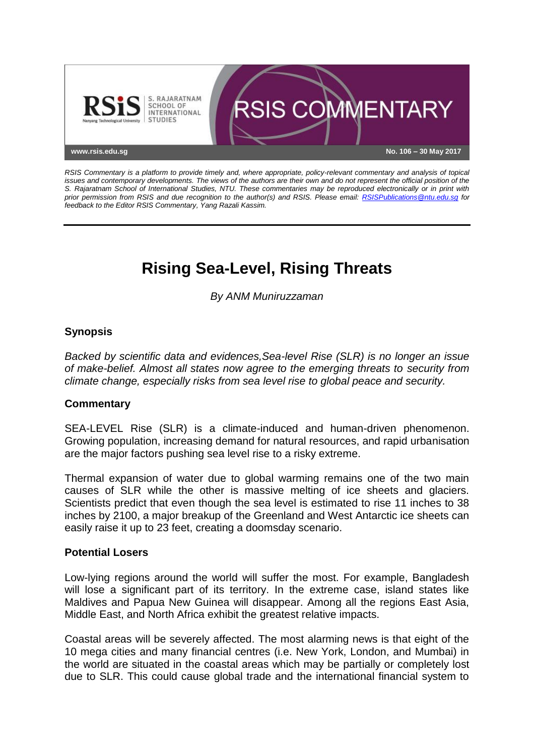

*RSIS Commentary is a platform to provide timely and, where appropriate, policy-relevant commentary and analysis of topical issues and contemporary developments. The views of the authors are their own and do not represent the official position of the S. Rajaratnam School of International Studies, NTU. These commentaries may be reproduced electronically or in print with prior permission from RSIS and due recognition to the author(s) and RSIS. Please email: [RSISPublications@ntu.edu.sg](mailto:RSISPublications@ntu.edu.sg) for feedback to the Editor RSIS Commentary, Yang Razali Kassim.*

# **Rising Sea-Level, Rising Threats**

*By ANM Muniruzzaman*

## **Synopsis**

*Backed by scientific data and evidences,Sea-level Rise (SLR) is no longer an issue of make-belief. Almost all states now agree to the emerging threats to security from climate change, especially risks from sea level rise to global peace and security.*

### **Commentary**

SEA-LEVEL Rise (SLR) is a climate-induced and human-driven phenomenon. Growing population, increasing demand for natural resources, and rapid urbanisation are the major factors pushing sea level rise to a risky extreme.

Thermal expansion of water due to global warming remains one of the two main causes of SLR while the other is massive melting of ice sheets and glaciers. Scientists predict that even though the sea level is estimated to rise 11 inches to 38 inches by 2100, a major breakup of the Greenland and West Antarctic ice sheets can easily raise it up to 23 feet, creating a doomsday scenario.

### **Potential Losers**

Low-lying regions around the world will suffer the most. For example, Bangladesh will lose a significant part of its territory. In the extreme case, island states like Maldives and Papua New Guinea will disappear. Among all the regions East Asia, Middle East, and North Africa exhibit the greatest relative impacts.

Coastal areas will be severely affected. The most alarming news is that eight of the 10 mega cities and many financial centres (i.e. New York, London, and Mumbai) in the world are situated in the coastal areas which may be partially or completely lost due to SLR. This could cause global trade and the international financial system to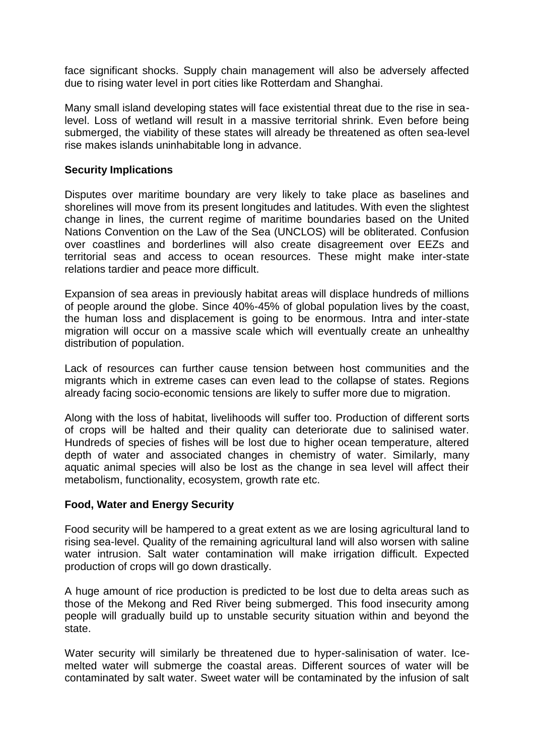face significant shocks. Supply chain management will also be adversely affected due to rising water level in port cities like Rotterdam and Shanghai.

Many small island developing states will face existential threat due to the rise in sealevel. Loss of wetland will result in a massive territorial shrink. Even before being submerged, the viability of these states will already be threatened as often sea-level rise makes islands uninhabitable long in advance.

#### **Security Implications**

Disputes over maritime boundary are very likely to take place as baselines and shorelines will move from its present longitudes and latitudes. With even the slightest change in lines, the current regime of maritime boundaries based on the United Nations Convention on the Law of the Sea (UNCLOS) will be obliterated. Confusion over coastlines and borderlines will also create disagreement over EEZs and territorial seas and access to ocean resources. These might make inter-state relations tardier and peace more difficult.

Expansion of sea areas in previously habitat areas will displace hundreds of millions of people around the globe. Since 40%-45% of global population lives by the coast, the human loss and displacement is going to be enormous. Intra and inter-state migration will occur on a massive scale which will eventually create an unhealthy distribution of population.

Lack of resources can further cause tension between host communities and the migrants which in extreme cases can even lead to the collapse of states. Regions already facing socio-economic tensions are likely to suffer more due to migration.

Along with the loss of habitat, livelihoods will suffer too. Production of different sorts of crops will be halted and their quality can deteriorate due to salinised water. Hundreds of species of fishes will be lost due to higher ocean temperature, altered depth of water and associated changes in chemistry of water. Similarly, many aquatic animal species will also be lost as the change in sea level will affect their metabolism, functionality, ecosystem, growth rate etc.

### **Food, Water and Energy Security**

Food security will be hampered to a great extent as we are losing agricultural land to rising sea-level. Quality of the remaining agricultural land will also worsen with saline water intrusion. Salt water contamination will make irrigation difficult. Expected production of crops will go down drastically.

A huge amount of rice production is predicted to be lost due to delta areas such as those of the Mekong and Red River being submerged. This food insecurity among people will gradually build up to unstable security situation within and beyond the state.

Water security will similarly be threatened due to hyper-salinisation of water. Icemelted water will submerge the coastal areas. Different sources of water will be contaminated by salt water. Sweet water will be contaminated by the infusion of salt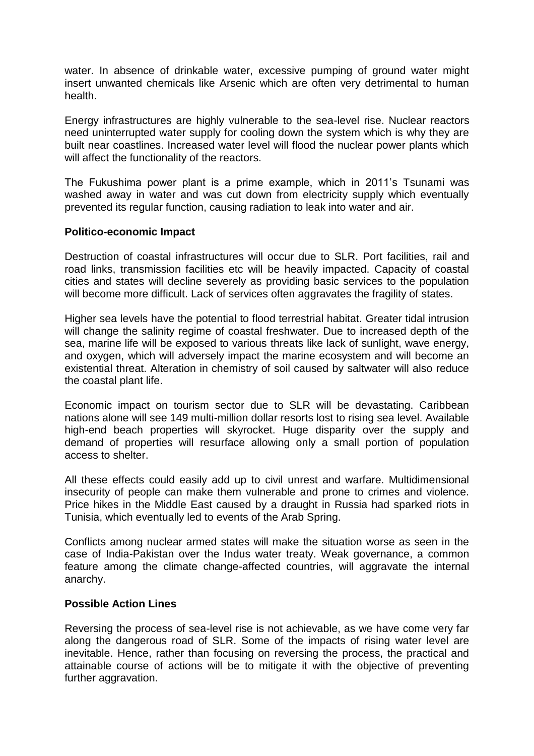water. In absence of drinkable water, excessive pumping of ground water might insert unwanted chemicals like Arsenic which are often very detrimental to human health.

Energy infrastructures are highly vulnerable to the sea-level rise. Nuclear reactors need uninterrupted water supply for cooling down the system which is why they are built near coastlines. Increased water level will flood the nuclear power plants which will affect the functionality of the reactors.

The Fukushima power plant is a prime example, which in 2011's Tsunami was washed away in water and was cut down from electricity supply which eventually prevented its regular function, causing radiation to leak into water and air.

#### **Politico-economic Impact**

Destruction of coastal infrastructures will occur due to SLR. Port facilities, rail and road links, transmission facilities etc will be heavily impacted. Capacity of coastal cities and states will decline severely as providing basic services to the population will become more difficult. Lack of services often aggravates the fragility of states.

Higher sea levels have the potential to flood terrestrial habitat. Greater tidal intrusion will change the salinity regime of coastal freshwater. Due to increased depth of the sea, marine life will be exposed to various threats like lack of sunlight, wave energy, and oxygen, which will adversely impact the marine ecosystem and will become an existential threat. Alteration in chemistry of soil caused by saltwater will also reduce the coastal plant life.

Economic impact on tourism sector due to SLR will be devastating. Caribbean nations alone will see 149 multi-million dollar resorts lost to rising sea level. Available high-end beach properties will skyrocket. Huge disparity over the supply and demand of properties will resurface allowing only a small portion of population access to shelter.

All these effects could easily add up to civil unrest and warfare. Multidimensional insecurity of people can make them vulnerable and prone to crimes and violence. Price hikes in the Middle East caused by a draught in Russia had sparked riots in Tunisia, which eventually led to events of the Arab Spring.

Conflicts among nuclear armed states will make the situation worse as seen in the case of India-Pakistan over the Indus water treaty. Weak governance, a common feature among the climate change-affected countries, will aggravate the internal anarchy.

#### **Possible Action Lines**

Reversing the process of sea-level rise is not achievable, as we have come very far along the dangerous road of SLR. Some of the impacts of rising water level are inevitable. Hence, rather than focusing on reversing the process, the practical and attainable course of actions will be to mitigate it with the objective of preventing further aggravation.